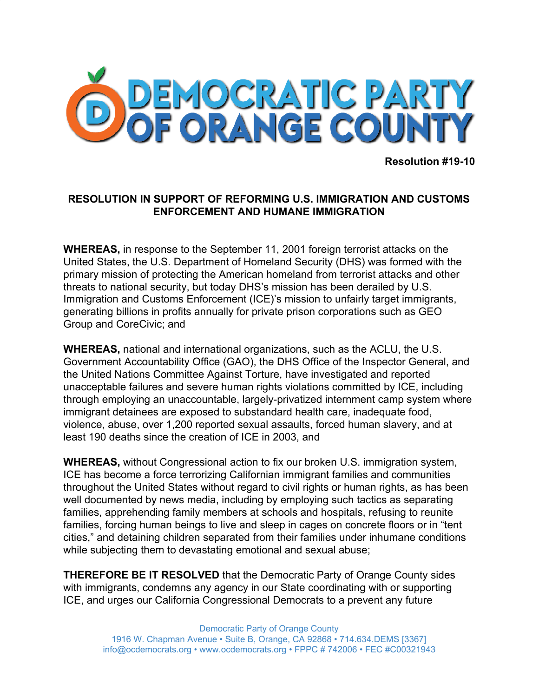

**Resolution #19-10**

## **RESOLUTION IN SUPPORT OF REFORMING U.S. IMMIGRATION AND CUSTOMS ENFORCEMENT AND HUMANE IMMIGRATION**

**WHEREAS,** in response to the September 11, 2001 foreign terrorist attacks on the United States, the U.S. Department of Homeland Security (DHS) was formed with the primary mission of protecting the American homeland from terrorist attacks and other threats to national security, but today DHS's mission has been derailed by U.S. Immigration and Customs Enforcement (ICE)'s mission to unfairly target immigrants, generating billions in profits annually for private prison corporations such as GEO Group and CoreCivic; and

**WHEREAS,** national and international organizations, such as the ACLU, the U.S. Government Accountability Office (GAO), the DHS Office of the Inspector General, and the United Nations Committee Against Torture, have investigated and reported unacceptable failures and severe human rights violations committed by ICE, including through employing an unaccountable, largely-privatized internment camp system where immigrant detainees are exposed to substandard health care, inadequate food, violence, abuse, over 1,200 reported sexual assaults, forced human slavery, and at least 190 deaths since the creation of ICE in 2003, and

**WHEREAS,** without Congressional action to fix our broken U.S. immigration system, ICE has become a force terrorizing Californian immigrant families and communities throughout the United States without regard to civil rights or human rights, as has been well documented by news media, including by employing such tactics as separating families, apprehending family members at schools and hospitals, refusing to reunite families, forcing human beings to live and sleep in cages on concrete floors or in "tent cities," and detaining children separated from their families under inhumane conditions while subjecting them to devastating emotional and sexual abuse;

**THEREFORE BE IT RESOLVED** that the Democratic Party of Orange County sides with immigrants, condemns any agency in our State coordinating with or supporting ICE, and urges our California Congressional Democrats to a prevent any future